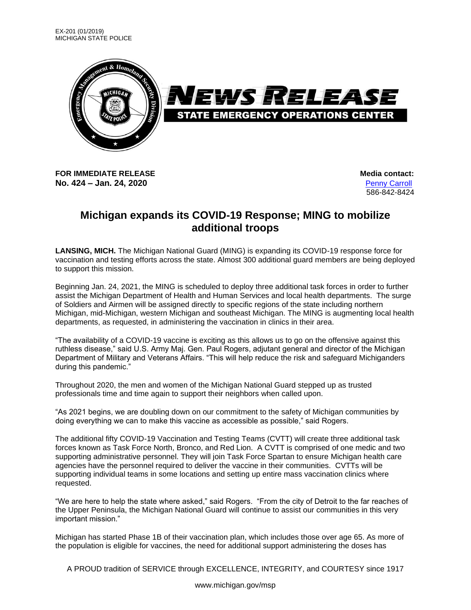

**FOR IMMEDIATE RELEASE Media** contact: **No. 424 – Jan. 24, 2020** [Penny Carroll](mailto:penelope.t.carroll.civ@mail.mil)

586-842-8424

## **Michigan expands its COVID-19 Response; MING to mobilize additional troops**

**LANSING, MICH.** The Michigan National Guard (MING) is expanding its COVID-19 response force for vaccination and testing efforts across the state. Almost 300 additional guard members are being deployed to support this mission.

Beginning Jan. 24, 2021, the MING is scheduled to deploy three additional task forces in order to further assist the Michigan Department of Health and Human Services and local health departments. The surge of Soldiers and Airmen will be assigned directly to specific regions of the state including northern Michigan, mid-Michigan, western Michigan and southeast Michigan. The MING is augmenting local health departments, as requested, in administering the vaccination in clinics in their area.

"The availability of a COVID-19 vaccine is exciting as this allows us to go on the offensive against this ruthless disease," said U.S. Army Maj. Gen. Paul Rogers, adjutant general and director of the Michigan Department of Military and Veterans Affairs. "This will help reduce the risk and safeguard Michiganders during this pandemic."

Throughout 2020, the men and women of the Michigan National Guard stepped up as trusted professionals time and time again to support their neighbors when called upon.

"As 2021 begins, we are doubling down on our commitment to the safety of Michigan communities by doing everything we can to make this vaccine as accessible as possible," said Rogers.

The additional fifty COVID-19 Vaccination and Testing Teams (CVTT) will create three additional task forces known as Task Force North, Bronco, and Red Lion. A CVTT is comprised of one medic and two supporting administrative personnel. They will join Task Force Spartan to ensure Michigan health care agencies have the personnel required to deliver the vaccine in their communities. CVTTs will be supporting individual teams in some locations and setting up entire mass vaccination clinics where requested.

"We are here to help the state where asked," said Rogers. "From the city of Detroit to the far reaches of the Upper Peninsula, the Michigan National Guard will continue to assist our communities in this very important mission."

Michigan has started Phase 1B of their vaccination plan, which includes those over age 65. As more of the population is eligible for vaccines, the need for additional support administering the doses has

A PROUD tradition of SERVICE through EXCELLENCE, INTEGRITY, and COURTESY since 1917